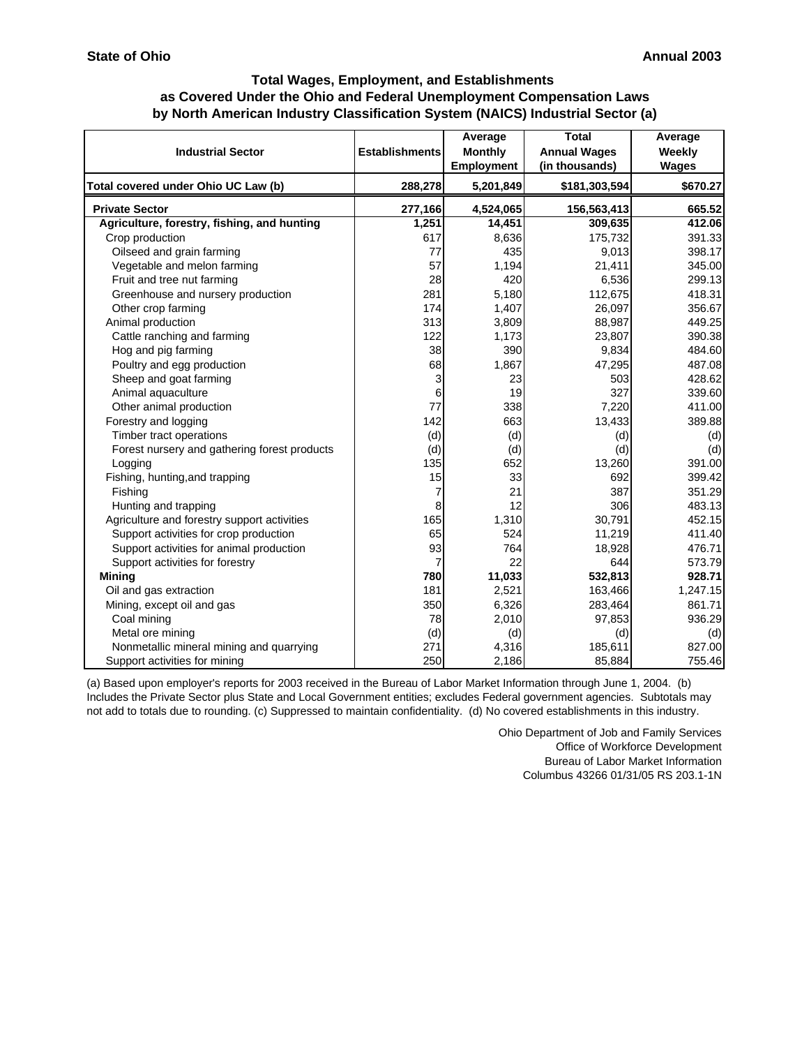| <b>Industrial Sector</b>                     | <b>Establishments</b> | Average<br><b>Monthly</b><br>Employment | <b>Total</b><br><b>Annual Wages</b><br>(in thousands) | Average<br>Weekly<br>Wages |
|----------------------------------------------|-----------------------|-----------------------------------------|-------------------------------------------------------|----------------------------|
| Total covered under Ohio UC Law (b)          | 288,278               | 5,201,849                               | \$181,303,594                                         | \$670.27                   |
| <b>Private Sector</b>                        | 277,166               | 4,524,065                               | 156,563,413                                           | 665.52                     |
| Agriculture, forestry, fishing, and hunting  | 1,251                 | 14,451                                  | 309,635                                               | 412.06                     |
| Crop production                              | 617                   | 8,636                                   | 175,732                                               | 391.33                     |
| Oilseed and grain farming                    | 77                    | 435                                     | 9,013                                                 | 398.17                     |
| Vegetable and melon farming                  | 57                    | 1,194                                   | 21,411                                                | 345.00                     |
| Fruit and tree nut farming                   | 28                    | 420                                     | 6,536                                                 | 299.13                     |
| Greenhouse and nursery production            | 281                   | 5,180                                   | 112,675                                               | 418.31                     |
| Other crop farming                           | 174                   | 1,407                                   | 26,097                                                | 356.67                     |
| Animal production                            | 313                   | 3,809                                   | 88,987                                                | 449.25                     |
| Cattle ranching and farming                  | 122                   | 1,173                                   | 23,807                                                | 390.38                     |
| Hog and pig farming                          | 38                    | 390                                     | 9,834                                                 | 484.60                     |
| Poultry and egg production                   | 68                    | 1,867                                   | 47,295                                                | 487.08                     |
| Sheep and goat farming                       | 3                     | 23                                      | 503                                                   | 428.62                     |
| Animal aquaculture                           | 6                     | 19                                      | 327                                                   | 339.60                     |
| Other animal production                      | 77                    | 338                                     | 7,220                                                 | 411.00                     |
| Forestry and logging                         | 142                   | 663                                     | 13,433                                                | 389.88                     |
| Timber tract operations                      | (d)                   | (d)                                     | (d)                                                   | (d)                        |
| Forest nursery and gathering forest products | (d)                   | (d)                                     | (d)                                                   | (d)                        |
| Logging                                      | 135                   | 652                                     | 13,260                                                | 391.00                     |
| Fishing, hunting, and trapping               | 15                    | 33                                      | 692                                                   | 399.42                     |
| Fishing                                      | 7                     | 21                                      | 387                                                   | 351.29                     |
| Hunting and trapping                         | 8                     | 12                                      | 306                                                   | 483.13                     |
| Agriculture and forestry support activities  | 165                   | 1,310                                   | 30,791                                                | 452.15                     |
| Support activities for crop production       | 65                    | 524                                     | 11,219                                                | 411.40                     |
| Support activities for animal production     | 93                    | 764                                     | 18,928                                                | 476.71                     |
| Support activities for forestry              | 7                     | 22                                      | 644                                                   | 573.79                     |
| <b>Mining</b>                                | 780                   | 11,033                                  | 532,813                                               | 928.71                     |
| Oil and gas extraction                       | 181                   | 2,521                                   | 163,466                                               | 1,247.15                   |
| Mining, except oil and gas                   | 350                   | 6,326                                   | 283,464                                               | 861.71                     |
| Coal mining                                  | 78                    | 2,010                                   | 97,853                                                | 936.29                     |
| Metal ore mining                             | (d)                   | (d)                                     | (d)                                                   | (d)                        |
| Nonmetallic mineral mining and quarrying     | 271                   | 4,316                                   | 185,611                                               | 827.00                     |
| Support activities for mining                | 250                   | 2,186                                   | 85,884                                                | 755.46                     |

(a) Based upon employer's reports for 2003 received in the Bureau of Labor Market Information through June 1, 2004. (b) Includes the Private Sector plus State and Local Government entities; excludes Federal government agencies. Subtotals may not add to totals due to rounding. (c) Suppressed to maintain confidentiality. (d) No covered establishments in this industry.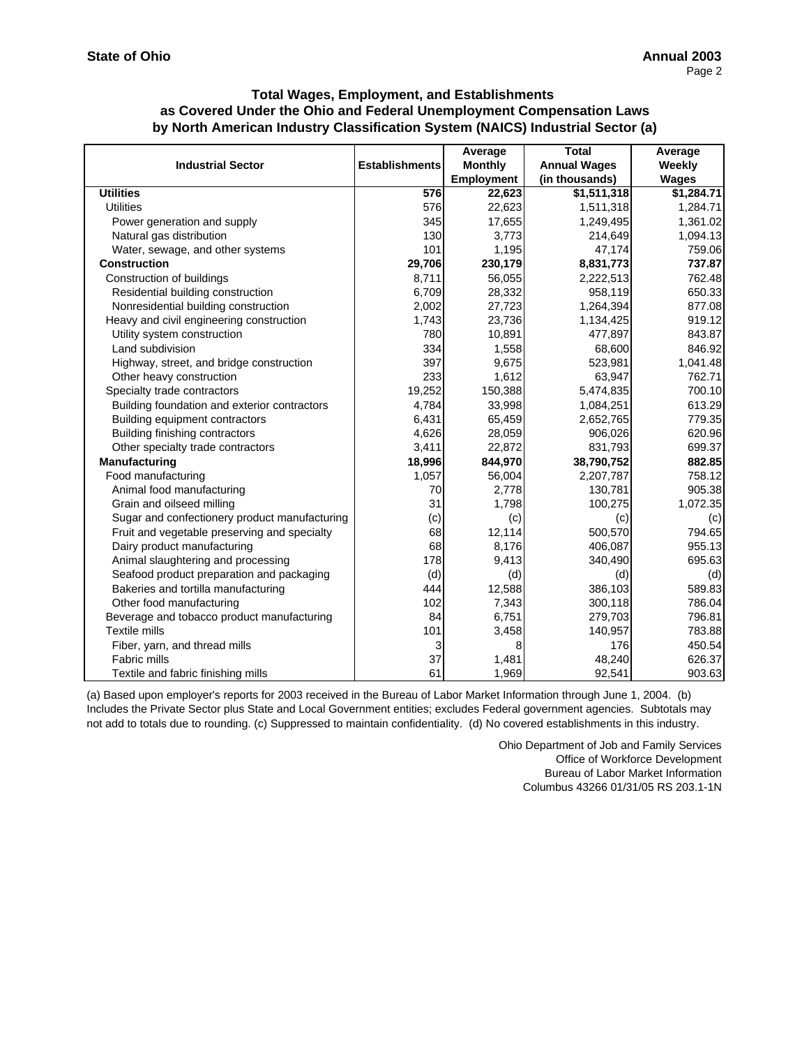|                                               |                       | Average           | <b>Total</b>        | Average    |
|-----------------------------------------------|-----------------------|-------------------|---------------------|------------|
| <b>Industrial Sector</b>                      | <b>Establishments</b> | <b>Monthly</b>    | <b>Annual Wages</b> | Weekly     |
|                                               |                       | <b>Employment</b> | (in thousands)      | Wages      |
| <b>Utilities</b>                              | 576                   | 22,623            | \$1,511,318         | \$1,284.71 |
| <b>Utilities</b>                              | 576                   | 22,623            | 1,511,318           | 1,284.71   |
| Power generation and supply                   | 345                   | 17,655            | 1,249,495           | 1,361.02   |
| Natural gas distribution                      | 130                   | 3,773             | 214,649             | 1,094.13   |
| Water, sewage, and other systems              | 101                   | 1,195             | 47,174              | 759.06     |
| <b>Construction</b>                           | 29,706                | 230,179           | 8,831,773           | 737.87     |
| Construction of buildings                     | 8,711                 | 56,055            | 2,222,513           | 762.48     |
| Residential building construction             | 6,709                 | 28,332            | 958,119             | 650.33     |
| Nonresidential building construction          | 2,002                 | 27,723            | 1,264,394           | 877.08     |
| Heavy and civil engineering construction      | 1,743                 | 23,736            | 1,134,425           | 919.12     |
| Utility system construction                   | 780                   | 10,891            | 477,897             | 843.87     |
| Land subdivision                              | 334                   | 1,558             | 68,600              | 846.92     |
| Highway, street, and bridge construction      | 397                   | 9,675             | 523,981             | 1,041.48   |
| Other heavy construction                      | 233                   | 1,612             | 63,947              | 762.71     |
| Specialty trade contractors                   | 19,252                | 150,388           | 5,474,835           | 700.10     |
| Building foundation and exterior contractors  | 4,784                 | 33,998            | 1,084,251           | 613.29     |
| Building equipment contractors                | 6,431                 | 65,459            | 2,652,765           | 779.35     |
| Building finishing contractors                | 4,626                 | 28,059            | 906,026             | 620.96     |
| Other specialty trade contractors             | 3,411                 | 22,872            | 831,793             | 699.37     |
| Manufacturing                                 | 18,996                | 844,970           | 38,790,752          | 882.85     |
| Food manufacturing                            | 1,057                 | 56,004            | 2,207,787           | 758.12     |
| Animal food manufacturing                     | 70                    | 2,778             | 130,781             | 905.38     |
| Grain and oilseed milling                     | 31                    | 1,798             | 100,275             | 1,072.35   |
| Sugar and confectionery product manufacturing | (c)                   | (c)               | (c)                 | (c)        |
| Fruit and vegetable preserving and specialty  | 68                    | 12,114            | 500,570             | 794.65     |
| Dairy product manufacturing                   | 68                    | 8,176             | 406,087             | 955.13     |
| Animal slaughtering and processing            | 178                   | 9,413             | 340,490             | 695.63     |
| Seafood product preparation and packaging     | (d)                   | (d)               | (d)                 | (d)        |
| Bakeries and tortilla manufacturing           | 444                   | 12,588            | 386,103             | 589.83     |
| Other food manufacturing                      | 102                   | 7,343             | 300,118             | 786.04     |
| Beverage and tobacco product manufacturing    | 84                    | 6,751             | 279,703             | 796.81     |
| <b>Textile mills</b>                          | 101                   | 3,458             | 140,957             | 783.88     |
| Fiber, yarn, and thread mills                 | 3                     | 8                 | 176                 | 450.54     |
| <b>Fabric mills</b>                           | 37                    | 1,481             | 48,240              | 626.37     |
| Textile and fabric finishing mills            | 61                    | 1,969             | 92,541              | 903.63     |

(a) Based upon employer's reports for 2003 received in the Bureau of Labor Market Information through June 1, 2004. (b) Includes the Private Sector plus State and Local Government entities; excludes Federal government agencies. Subtotals may not add to totals due to rounding. (c) Suppressed to maintain confidentiality. (d) No covered establishments in this industry.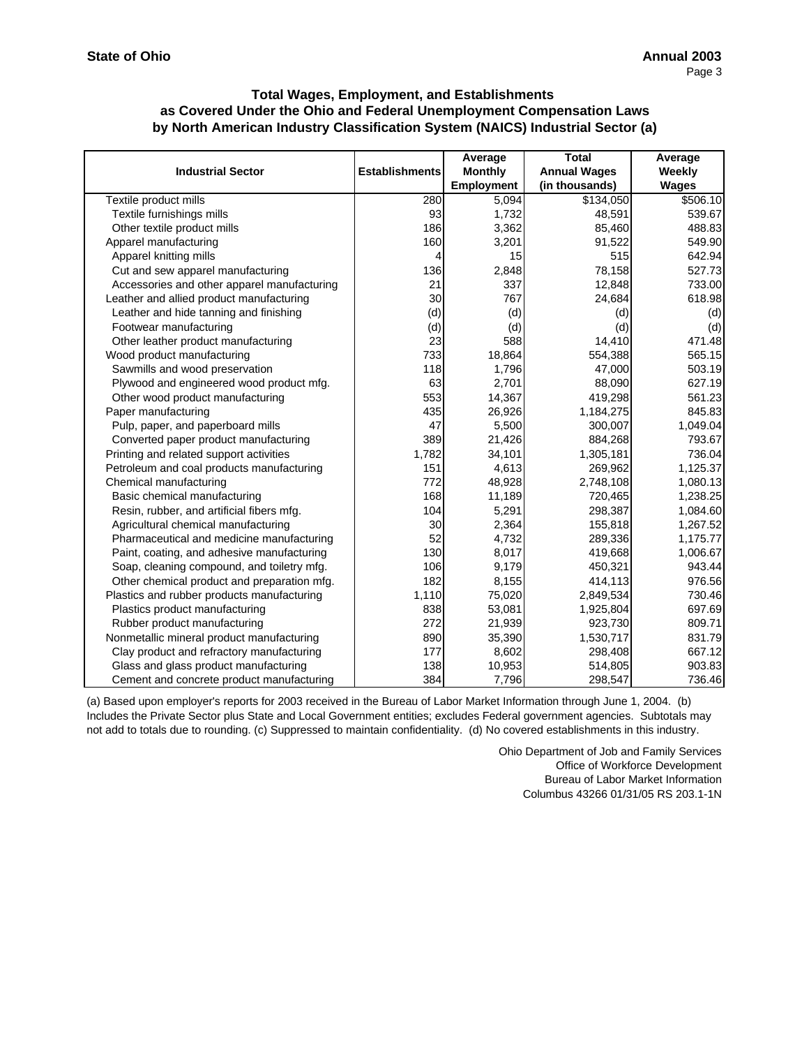|                                             |                       | Average           | <b>Total</b>        | Average      |
|---------------------------------------------|-----------------------|-------------------|---------------------|--------------|
| <b>Industrial Sector</b>                    | <b>Establishments</b> | <b>Monthly</b>    | <b>Annual Wages</b> | Weekly       |
|                                             |                       | <b>Employment</b> | (in thousands)      | <b>Wages</b> |
| Textile product mills                       | 280                   | 5.094             | \$134,050           | \$506.10     |
| Textile furnishings mills                   | 93                    | 1,732             | 48,591              | 539.67       |
| Other textile product mills                 | 186                   | 3,362             | 85,460              | 488.83       |
| Apparel manufacturing                       | 160                   | 3,201             | 91,522              | 549.90       |
| Apparel knitting mills                      | 4                     | 15                | 515                 | 642.94       |
| Cut and sew apparel manufacturing           | 136                   | 2,848             | 78,158              | 527.73       |
| Accessories and other apparel manufacturing | 21                    | 337               | 12,848              | 733.00       |
| Leather and allied product manufacturing    | 30                    | 767               | 24,684              | 618.98       |
| Leather and hide tanning and finishing      | (d)                   | (d)               | (d)                 | (d)          |
| Footwear manufacturing                      | (d)                   | (d)               | (d)                 | (d)          |
| Other leather product manufacturing         | 23                    | 588               | 14,410              | 471.48       |
| Wood product manufacturing                  | 733                   | 18,864            | 554,388             | 565.15       |
| Sawmills and wood preservation              | 118                   | 1,796             | 47,000              | 503.19       |
| Plywood and engineered wood product mfg.    | 63                    | 2,701             | 88,090              | 627.19       |
| Other wood product manufacturing            | 553                   | 14,367            | 419,298             | 561.23       |
| Paper manufacturing                         | 435                   | 26,926            | 1,184,275           | 845.83       |
| Pulp, paper, and paperboard mills           | 47                    | 5,500             | 300,007             | 1,049.04     |
| Converted paper product manufacturing       | 389                   | 21,426            | 884,268             | 793.67       |
| Printing and related support activities     | 1,782                 | 34,101            | 1,305,181           | 736.04       |
| Petroleum and coal products manufacturing   | 151                   | 4,613             | 269,962             | 1,125.37     |
| Chemical manufacturing                      | 772                   | 48,928            | 2,748,108           | 1,080.13     |
| Basic chemical manufacturing                | 168                   | 11,189            | 720,465             | 1,238.25     |
| Resin, rubber, and artificial fibers mfg.   | 104                   | 5,291             | 298,387             | 1,084.60     |
| Agricultural chemical manufacturing         | 30                    | 2,364             | 155,818             | 1,267.52     |
| Pharmaceutical and medicine manufacturing   | 52                    | 4,732             | 289,336             | 1,175.77     |
| Paint, coating, and adhesive manufacturing  | 130                   | 8,017             | 419,668             | 1,006.67     |
| Soap, cleaning compound, and toiletry mfg.  | 106                   | 9,179             | 450,321             | 943.44       |
| Other chemical product and preparation mfg. | 182                   | 8,155             | 414,113             | 976.56       |
| Plastics and rubber products manufacturing  | 1,110                 | 75,020            | 2,849,534           | 730.46       |
| Plastics product manufacturing              | 838                   | 53,081            | 1,925,804           | 697.69       |
| Rubber product manufacturing                | 272                   | 21,939            | 923,730             | 809.71       |
| Nonmetallic mineral product manufacturing   | 890                   | 35,390            | 1,530,717           | 831.79       |
| Clay product and refractory manufacturing   | 177                   | 8,602             | 298,408             | 667.12       |
| Glass and glass product manufacturing       | 138                   | 10,953            | 514,805             | 903.83       |
| Cement and concrete product manufacturing   | 384                   | 7,796             | 298,547             | 736.46       |

(a) Based upon employer's reports for 2003 received in the Bureau of Labor Market Information through June 1, 2004. (b) Includes the Private Sector plus State and Local Government entities; excludes Federal government agencies. Subtotals may not add to totals due to rounding. (c) Suppressed to maintain confidentiality. (d) No covered establishments in this industry.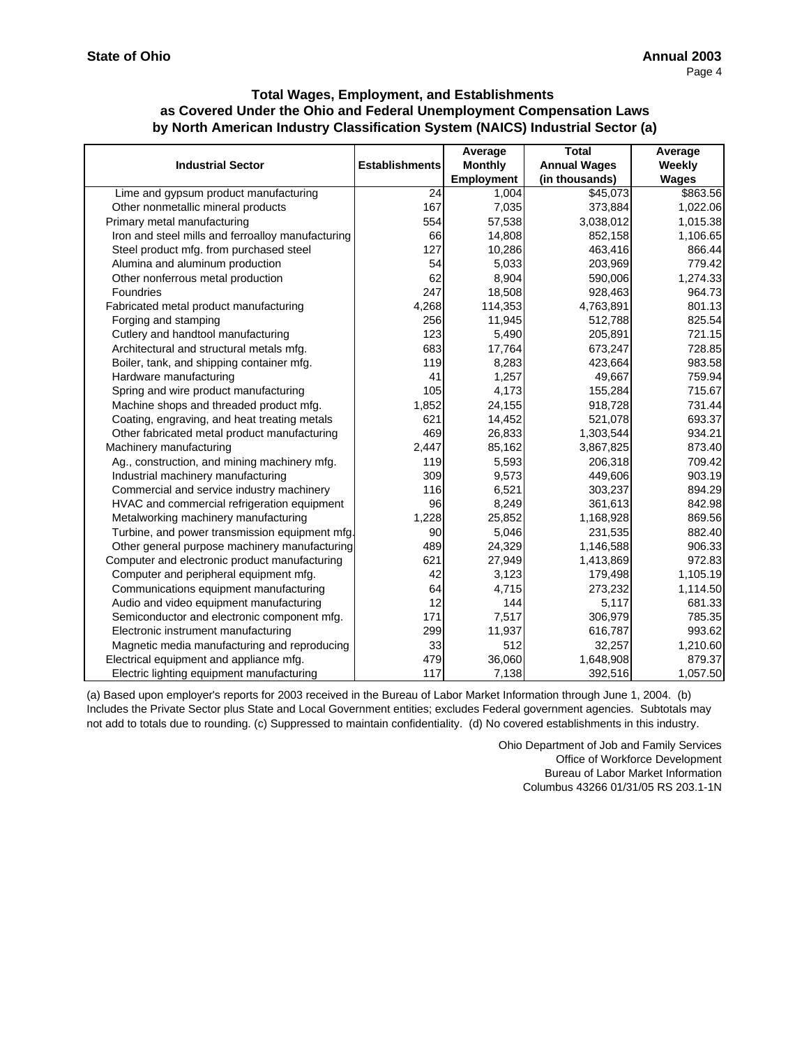|                                                   |                       | Average        | <b>Total</b>        | Average      |
|---------------------------------------------------|-----------------------|----------------|---------------------|--------------|
| <b>Industrial Sector</b>                          | <b>Establishments</b> | <b>Monthly</b> | <b>Annual Wages</b> | Weekly       |
|                                                   |                       | Employment     | (in thousands)      | <b>Wages</b> |
| Lime and gypsum product manufacturing             | 24                    | 1,004          | \$45,073            | \$863.56     |
| Other nonmetallic mineral products                | 167                   | 7,035          | 373,884             | 1,022.06     |
| Primary metal manufacturing                       | 554                   | 57,538         | 3,038,012           | 1,015.38     |
| Iron and steel mills and ferroalloy manufacturing | 66                    | 14,808         | 852,158             | 1,106.65     |
| Steel product mfg. from purchased steel           | 127                   | 10,286         | 463,416             | 866.44       |
| Alumina and aluminum production                   | 54                    | 5,033          | 203,969             | 779.42       |
| Other nonferrous metal production                 | 62                    | 8,904          | 590,006             | 1,274.33     |
| Foundries                                         | 247                   | 18,508         | 928,463             | 964.73       |
| Fabricated metal product manufacturing            | 4,268                 | 114,353        | 4,763,891           | 801.13       |
| Forging and stamping                              | 256                   | 11,945         | 512,788             | 825.54       |
| Cutlery and handtool manufacturing                | 123                   | 5,490          | 205,891             | 721.15       |
| Architectural and structural metals mfg.          | 683                   | 17,764         | 673,247             | 728.85       |
| Boiler, tank, and shipping container mfg.         | 119                   | 8,283          | 423,664             | 983.58       |
| Hardware manufacturing                            | 41                    | 1,257          | 49,667              | 759.94       |
| Spring and wire product manufacturing             | 105                   | 4,173          | 155,284             | 715.67       |
| Machine shops and threaded product mfg.           | 1,852                 | 24,155         | 918,728             | 731.44       |
| Coating, engraving, and heat treating metals      | 621                   | 14,452         | 521,078             | 693.37       |
| Other fabricated metal product manufacturing      | 469                   | 26,833         | 1,303,544           | 934.21       |
| Machinery manufacturing                           | 2,447                 | 85,162         | 3,867,825           | 873.40       |
| Ag., construction, and mining machinery mfg.      | 119                   | 5,593          | 206,318             | 709.42       |
| Industrial machinery manufacturing                | 309                   | 9,573          | 449,606             | 903.19       |
| Commercial and service industry machinery         | 116                   | 6,521          | 303,237             | 894.29       |
| HVAC and commercial refrigeration equipment       | 96                    | 8,249          | 361,613             | 842.98       |
| Metalworking machinery manufacturing              | 1,228                 | 25,852         | 1,168,928           | 869.56       |
| Turbine, and power transmission equipment mfg.    | 90                    | 5,046          | 231,535             | 882.40       |
| Other general purpose machinery manufacturing     | 489                   | 24,329         | 1,146,588           | 906.33       |
| Computer and electronic product manufacturing     | 621                   | 27,949         | 1,413,869           | 972.83       |
| Computer and peripheral equipment mfg.            | 42                    | 3,123          | 179,498             | 1,105.19     |
| Communications equipment manufacturing            | 64                    | 4,715          | 273,232             | 1,114.50     |
| Audio and video equipment manufacturing           | 12                    | 144            | 5,117               | 681.33       |
| Semiconductor and electronic component mfg.       | 171                   | 7,517          | 306,979             | 785.35       |
| Electronic instrument manufacturing               | 299                   | 11,937         | 616,787             | 993.62       |
| Magnetic media manufacturing and reproducing      | 33                    | 512            | 32,257              | 1,210.60     |
| Electrical equipment and appliance mfg.           | 479                   | 36,060         | 1,648,908           | 879.37       |
| Electric lighting equipment manufacturing         | 117                   | 7,138          | 392,516             | 1,057.50     |

(a) Based upon employer's reports for 2003 received in the Bureau of Labor Market Information through June 1, 2004. (b) Includes the Private Sector plus State and Local Government entities; excludes Federal government agencies. Subtotals may not add to totals due to rounding. (c) Suppressed to maintain confidentiality. (d) No covered establishments in this industry.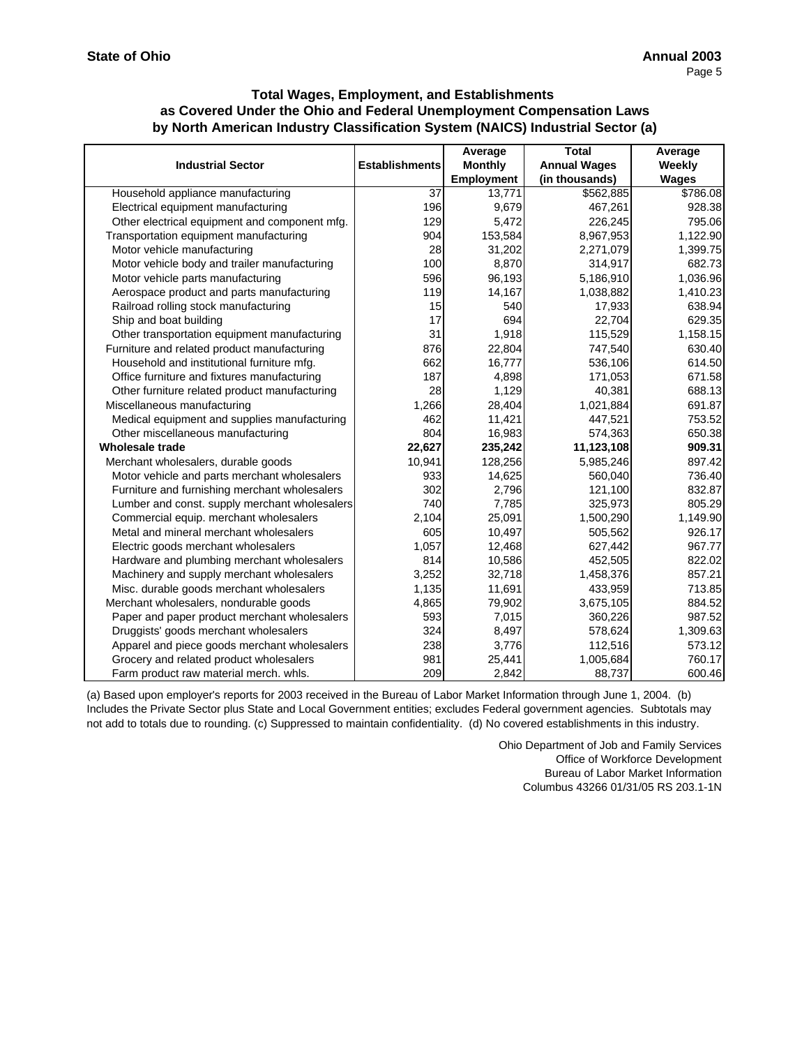|                                               |                       | Average           | <b>Total</b>        | Average      |
|-----------------------------------------------|-----------------------|-------------------|---------------------|--------------|
| <b>Industrial Sector</b>                      | <b>Establishments</b> | <b>Monthly</b>    | <b>Annual Wages</b> | Weekly       |
|                                               |                       | <b>Employment</b> | (in thousands)      | <b>Wages</b> |
| Household appliance manufacturing             | 37                    | 13,771            | \$562,885           | \$786.08     |
| Electrical equipment manufacturing            | 196                   | 9,679             | 467,261             | 928.38       |
| Other electrical equipment and component mfg. | 129                   | 5,472             | 226,245             | 795.06       |
| Transportation equipment manufacturing        | 904                   | 153,584           | 8,967,953           | 1,122.90     |
| Motor vehicle manufacturing                   | 28                    | 31,202            | 2,271,079           | 1,399.75     |
| Motor vehicle body and trailer manufacturing  | 100                   | 8,870             | 314,917             | 682.73       |
| Motor vehicle parts manufacturing             | 596                   | 96,193            | 5,186,910           | 1,036.96     |
| Aerospace product and parts manufacturing     | 119                   | 14,167            | 1,038,882           | 1,410.23     |
| Railroad rolling stock manufacturing          | 15                    | 540               | 17,933              | 638.94       |
| Ship and boat building                        | 17                    | 694               | 22,704              | 629.35       |
| Other transportation equipment manufacturing  | 31                    | 1,918             | 115,529             | 1,158.15     |
| Furniture and related product manufacturing   | 876                   | 22,804            | 747,540             | 630.40       |
| Household and institutional furniture mfg.    | 662                   | 16,777            | 536,106             | 614.50       |
| Office furniture and fixtures manufacturing   | 187                   | 4,898             | 171,053             | 671.58       |
| Other furniture related product manufacturing | 28                    | 1,129             | 40,381              | 688.13       |
| Miscellaneous manufacturing                   | 1,266                 | 28,404            | 1,021,884           | 691.87       |
| Medical equipment and supplies manufacturing  | 462                   | 11,421            | 447,521             | 753.52       |
| Other miscellaneous manufacturing             | 804                   | 16,983            | 574,363             | 650.38       |
| <b>Wholesale trade</b>                        | 22,627                | 235,242           | 11,123,108          | 909.31       |
| Merchant wholesalers, durable goods           | 10,941                | 128,256           | 5,985,246           | 897.42       |
| Motor vehicle and parts merchant wholesalers  | 933                   | 14,625            | 560,040             | 736.40       |
| Furniture and furnishing merchant wholesalers | 302                   | 2,796             | 121,100             | 832.87       |
| Lumber and const. supply merchant wholesalers | 740                   | 7,785             | 325,973             | 805.29       |
| Commercial equip. merchant wholesalers        | 2,104                 | 25,091            | 1,500,290           | 1,149.90     |
| Metal and mineral merchant wholesalers        | 605                   | 10,497            | 505,562             | 926.17       |
| Electric goods merchant wholesalers           | 1,057                 | 12,468            | 627,442             | 967.77       |
| Hardware and plumbing merchant wholesalers    | 814                   | 10,586            | 452,505             | 822.02       |
| Machinery and supply merchant wholesalers     | 3,252                 | 32,718            | 1,458,376           | 857.21       |
| Misc. durable goods merchant wholesalers      | 1,135                 | 11,691            | 433,959             | 713.85       |
| Merchant wholesalers, nondurable goods        | 4,865                 | 79,902            | 3,675,105           | 884.52       |
| Paper and paper product merchant wholesalers  | 593                   | 7,015             | 360,226             | 987.52       |
| Druggists' goods merchant wholesalers         | 324                   | 8,497             | 578,624             | 1,309.63     |
| Apparel and piece goods merchant wholesalers  | 238                   | 3,776             | 112,516             | 573.12       |
| Grocery and related product wholesalers       | 981                   | 25,441            | 1,005,684           | 760.17       |
| Farm product raw material merch. whls.        | 209                   | 2,842             | 88,737              | 600.46       |

(a) Based upon employer's reports for 2003 received in the Bureau of Labor Market Information through June 1, 2004. (b) Includes the Private Sector plus State and Local Government entities; excludes Federal government agencies. Subtotals may not add to totals due to rounding. (c) Suppressed to maintain confidentiality. (d) No covered establishments in this industry.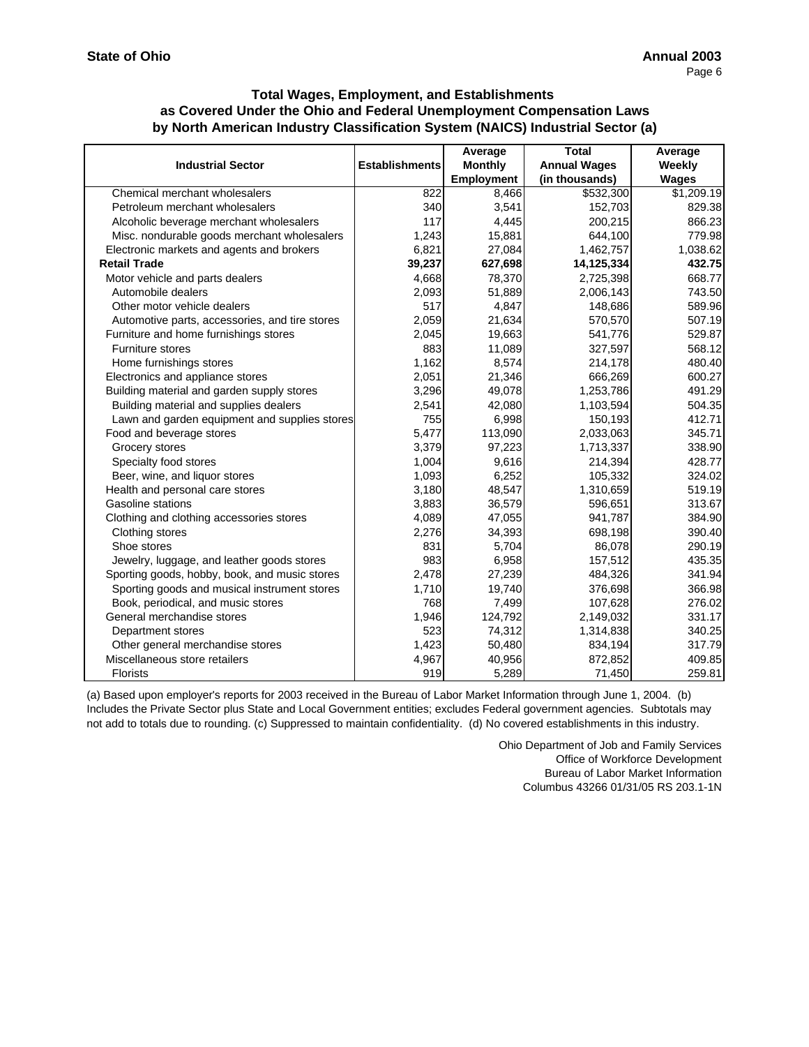|                                                |                       | Average        | <b>Total</b>        | Average      |
|------------------------------------------------|-----------------------|----------------|---------------------|--------------|
| <b>Industrial Sector</b>                       | <b>Establishments</b> | <b>Monthly</b> | <b>Annual Wages</b> | Weekly       |
|                                                |                       | Employment     | (in thousands)      | <b>Wages</b> |
| Chemical merchant wholesalers                  | 822                   | 8,466          | \$532,300           | \$1,209.19   |
| Petroleum merchant wholesalers                 | 340                   | 3,541          | 152,703             | 829.38       |
| Alcoholic beverage merchant wholesalers        | 117                   | 4,445          | 200,215             | 866.23       |
| Misc. nondurable goods merchant wholesalers    | 1,243                 | 15,881         | 644,100             | 779.98       |
| Electronic markets and agents and brokers      | 6,821                 | 27,084         | 1,462,757           | 1,038.62     |
| <b>Retail Trade</b>                            | 39,237                | 627,698        | 14,125,334          | 432.75       |
| Motor vehicle and parts dealers                | 4,668                 | 78,370         | 2,725,398           | 668.77       |
| Automobile dealers                             | 2,093                 | 51,889         | 2,006,143           | 743.50       |
| Other motor vehicle dealers                    | 517                   | 4,847          | 148,686             | 589.96       |
| Automotive parts, accessories, and tire stores | 2,059                 | 21,634         | 570,570             | 507.19       |
| Furniture and home furnishings stores          | 2,045                 | 19,663         | 541,776             | 529.87       |
| <b>Furniture stores</b>                        | 883                   | 11,089         | 327,597             | 568.12       |
| Home furnishings stores                        | 1,162                 | 8,574          | 214,178             | 480.40       |
| Electronics and appliance stores               | 2,051                 | 21,346         | 666,269             | 600.27       |
| Building material and garden supply stores     | 3,296                 | 49,078         | 1,253,786           | 491.29       |
| Building material and supplies dealers         | 2,541                 | 42,080         | 1,103,594           | 504.35       |
| Lawn and garden equipment and supplies stores  | 755                   | 6,998          | 150,193             | 412.71       |
| Food and beverage stores                       | 5,477                 | 113,090        | 2,033,063           | 345.71       |
| Grocery stores                                 | 3,379                 | 97,223         | 1,713,337           | 338.90       |
| Specialty food stores                          | 1,004                 | 9,616          | 214,394             | 428.77       |
| Beer, wine, and liquor stores                  | 1,093                 | 6,252          | 105,332             | 324.02       |
| Health and personal care stores                | 3,180                 | 48,547         | 1,310,659           | 519.19       |
| Gasoline stations                              | 3,883                 | 36,579         | 596,651             | 313.67       |
| Clothing and clothing accessories stores       | 4,089                 | 47,055         | 941,787             | 384.90       |
| Clothing stores                                | 2,276                 | 34,393         | 698,198             | 390.40       |
| Shoe stores                                    | 831                   | 5,704          | 86,078              | 290.19       |
| Jewelry, luggage, and leather goods stores     | 983                   | 6,958          | 157,512             | 435.35       |
| Sporting goods, hobby, book, and music stores  | 2,478                 | 27,239         | 484,326             | 341.94       |
| Sporting goods and musical instrument stores   | 1,710                 | 19,740         | 376,698             | 366.98       |
| Book, periodical, and music stores             | 768                   | 7,499          | 107,628             | 276.02       |
| General merchandise stores                     | 1,946                 | 124,792        | 2,149,032           | 331.17       |
| Department stores                              | 523                   | 74,312         | 1,314,838           | 340.25       |
| Other general merchandise stores               | 1,423                 | 50,480         | 834,194             | 317.79       |
| Miscellaneous store retailers                  | 4,967                 | 40,956         | 872,852             | 409.85       |
| <b>Florists</b>                                | 919                   | 5,289          | 71,450              | 259.81       |

(a) Based upon employer's reports for 2003 received in the Bureau of Labor Market Information through June 1, 2004. (b) Includes the Private Sector plus State and Local Government entities; excludes Federal government agencies. Subtotals may not add to totals due to rounding. (c) Suppressed to maintain confidentiality. (d) No covered establishments in this industry.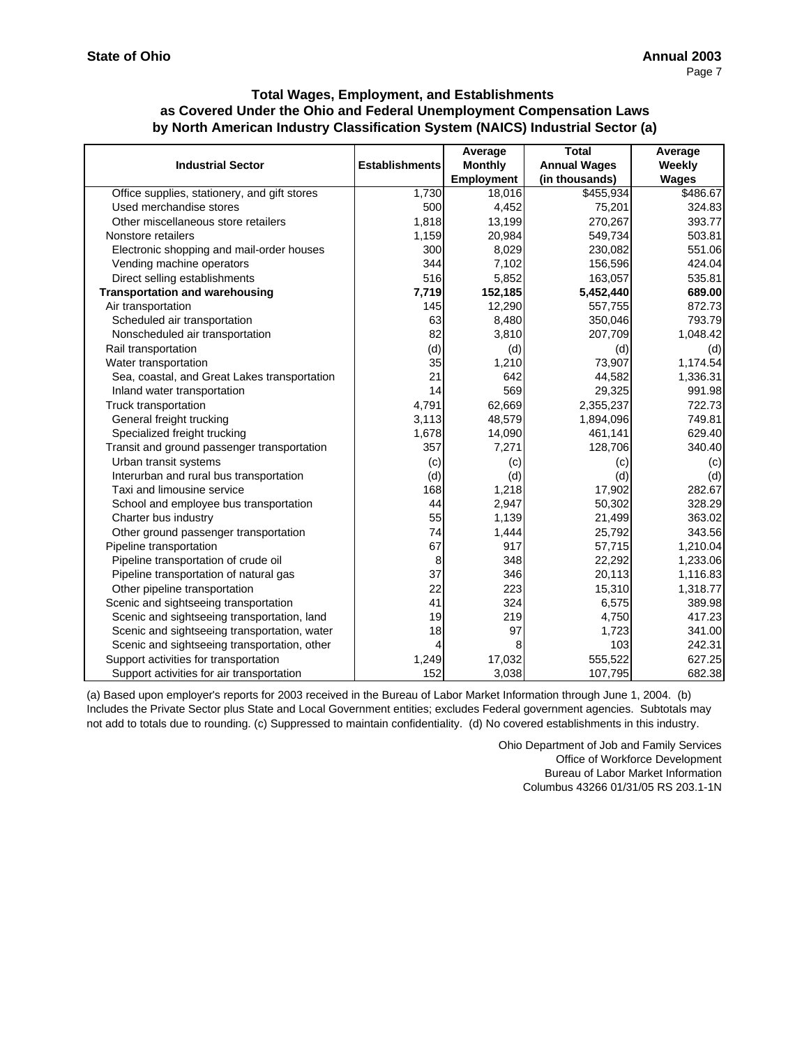|                                              |                       | Average           | <b>Total</b>        | Average      |
|----------------------------------------------|-----------------------|-------------------|---------------------|--------------|
| <b>Industrial Sector</b>                     | <b>Establishments</b> | <b>Monthly</b>    | <b>Annual Wages</b> | Weekly       |
|                                              |                       | <b>Employment</b> | (in thousands)      | <b>Wages</b> |
| Office supplies, stationery, and gift stores | 1,730                 | 18,016            | \$455,934           | \$486.67     |
| Used merchandise stores                      | 500                   | 4,452             | 75,201              | 324.83       |
| Other miscellaneous store retailers          | 1,818                 | 13,199            | 270,267             | 393.77       |
| Nonstore retailers                           | 1,159                 | 20,984            | 549,734             | 503.81       |
| Electronic shopping and mail-order houses    | 300                   | 8,029             | 230,082             | 551.06       |
| Vending machine operators                    | 344                   | 7,102             | 156,596             | 424.04       |
| Direct selling establishments                | 516                   | 5,852             | 163,057             | 535.81       |
| <b>Transportation and warehousing</b>        | 7,719                 | 152,185           | 5,452,440           | 689.00       |
| Air transportation                           | 145                   | 12,290            | 557,755             | 872.73       |
| Scheduled air transportation                 | 63                    | 8,480             | 350,046             | 793.79       |
| Nonscheduled air transportation              | 82                    | 3,810             | 207,709             | 1,048.42     |
| Rail transportation                          | (d)                   | (d)               | (d)                 | (d)          |
| Water transportation                         | 35                    | 1,210             | 73,907              | 1,174.54     |
| Sea, coastal, and Great Lakes transportation | 21                    | 642               | 44,582              | 1,336.31     |
| Inland water transportation                  | 14                    | 569               | 29,325              | 991.98       |
| Truck transportation                         | 4,791                 | 62,669            | 2,355,237           | 722.73       |
| General freight trucking                     | 3,113                 | 48,579            | 1,894,096           | 749.81       |
| Specialized freight trucking                 | 1,678                 | 14,090            | 461,141             | 629.40       |
| Transit and ground passenger transportation  | 357                   | 7,271             | 128,706             | 340.40       |
| Urban transit systems                        | (c)                   | (c)               | (c)                 | (c)          |
| Interurban and rural bus transportation      | (d)                   | (d)               | (d)                 | (d)          |
| Taxi and limousine service                   | 168                   | 1,218             | 17,902              | 282.67       |
| School and employee bus transportation       | 44                    | 2,947             | 50,302              | 328.29       |
| Charter bus industry                         | 55                    | 1,139             | 21,499              | 363.02       |
| Other ground passenger transportation        | 74                    | 1,444             | 25,792              | 343.56       |
| Pipeline transportation                      | 67                    | 917               | 57,715              | 1,210.04     |
| Pipeline transportation of crude oil         | 8                     | 348               | 22,292              | 1,233.06     |
| Pipeline transportation of natural gas       | 37                    | 346               | 20,113              | 1,116.83     |
| Other pipeline transportation                | 22                    | 223               | 15,310              | 1,318.77     |
| Scenic and sightseeing transportation        | 41                    | 324               | 6,575               | 389.98       |
| Scenic and sightseeing transportation, land  | 19                    | 219               | 4,750               | 417.23       |
| Scenic and sightseeing transportation, water | 18                    | 97                | 1,723               | 341.00       |
| Scenic and sightseeing transportation, other | 4                     | 8                 | 103                 | 242.31       |
| Support activities for transportation        | 1,249                 | 17,032            | 555,522             | 627.25       |
| Support activities for air transportation    | 152                   | 3,038             | 107,795             | 682.38       |

(a) Based upon employer's reports for 2003 received in the Bureau of Labor Market Information through June 1, 2004. (b) Includes the Private Sector plus State and Local Government entities; excludes Federal government agencies. Subtotals may not add to totals due to rounding. (c) Suppressed to maintain confidentiality. (d) No covered establishments in this industry.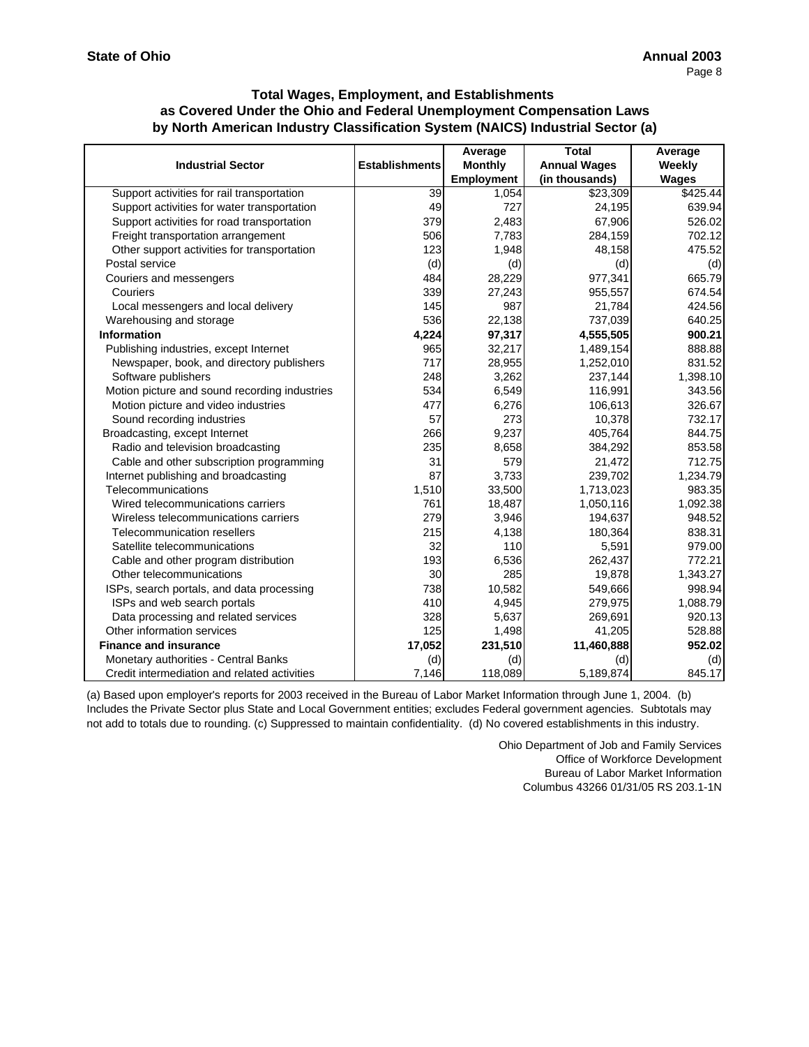|                                               |                       | Average           | <b>Total</b>        | Average  |
|-----------------------------------------------|-----------------------|-------------------|---------------------|----------|
| <b>Industrial Sector</b>                      | <b>Establishments</b> | <b>Monthly</b>    | <b>Annual Wages</b> | Weekly   |
|                                               |                       | <b>Employment</b> | (in thousands)      | Wages    |
| Support activities for rail transportation    | 39                    | 1,054             | \$23,309            | \$425.44 |
| Support activities for water transportation   | 49                    | 727               | 24,195              | 639.94   |
| Support activities for road transportation    | 379                   | 2,483             | 67,906              | 526.02   |
| Freight transportation arrangement            | 506                   | 7,783             | 284,159             | 702.12   |
| Other support activities for transportation   | 123                   | 1,948             | 48,158              | 475.52   |
| Postal service                                | (d)                   | (d)               | (d)                 | (d)      |
| Couriers and messengers                       | 484                   | 28,229            | 977,341             | 665.79   |
| Couriers                                      | 339                   | 27,243            | 955,557             | 674.54   |
| Local messengers and local delivery           | 145                   | 987               | 21,784              | 424.56   |
| Warehousing and storage                       | <b>536</b>            | 22,138            | 737,039             | 640.25   |
| <b>Information</b>                            | 4,224                 | 97,317            | 4,555,505           | 900.21   |
| Publishing industries, except Internet        | 965                   | 32,217            | 1,489,154           | 888.88   |
| Newspaper, book, and directory publishers     | 717                   | 28,955            | 1,252,010           | 831.52   |
| Software publishers                           | 248                   | 3,262             | 237,144             | 1,398.10 |
| Motion picture and sound recording industries | 534                   | 6,549             | 116,991             | 343.56   |
| Motion picture and video industries           | 477                   | 6,276             | 106,613             | 326.67   |
| Sound recording industries                    | 57                    | 273               | 10,378              | 732.17   |
| Broadcasting, except Internet                 | 266                   | 9,237             | 405,764             | 844.75   |
| Radio and television broadcasting             | 235                   | 8,658             | 384,292             | 853.58   |
| Cable and other subscription programming      | 31                    | 579               | 21,472              | 712.75   |
| Internet publishing and broadcasting          | 87                    | 3,733             | 239,702             | 1,234.79 |
| Telecommunications                            | 1,510                 | 33,500            | 1,713,023           | 983.35   |
| Wired telecommunications carriers             | 761                   | 18,487            | 1,050,116           | 1,092.38 |
| Wireless telecommunications carriers          | 279                   | 3,946             | 194,637             | 948.52   |
| Telecommunication resellers                   | 215                   | 4,138             | 180,364             | 838.31   |
| Satellite telecommunications                  | 32                    | 110               | 5,591               | 979.00   |
| Cable and other program distribution          | 193                   | 6,536             | 262,437             | 772.21   |
| Other telecommunications                      | 30                    | 285               | 19,878              | 1,343.27 |
| ISPs, search portals, and data processing     | 738                   | 10,582            | 549,666             | 998.94   |
| ISPs and web search portals                   | 410                   | 4,945             | 279,975             | 1,088.79 |
| Data processing and related services          | 328                   | 5,637             | 269,691             | 920.13   |
| Other information services                    | 125                   | 1,498             | 41,205              | 528.88   |
| <b>Finance and insurance</b>                  | 17,052                | 231,510           | 11,460,888          | 952.02   |
| Monetary authorities - Central Banks          | (d)                   | (d)               | (d)                 | (d)      |
| Credit intermediation and related activities  | 7,146                 | 118,089           | 5,189,874           | 845.17   |

(a) Based upon employer's reports for 2003 received in the Bureau of Labor Market Information through June 1, 2004. (b) Includes the Private Sector plus State and Local Government entities; excludes Federal government agencies. Subtotals may not add to totals due to rounding. (c) Suppressed to maintain confidentiality. (d) No covered establishments in this industry.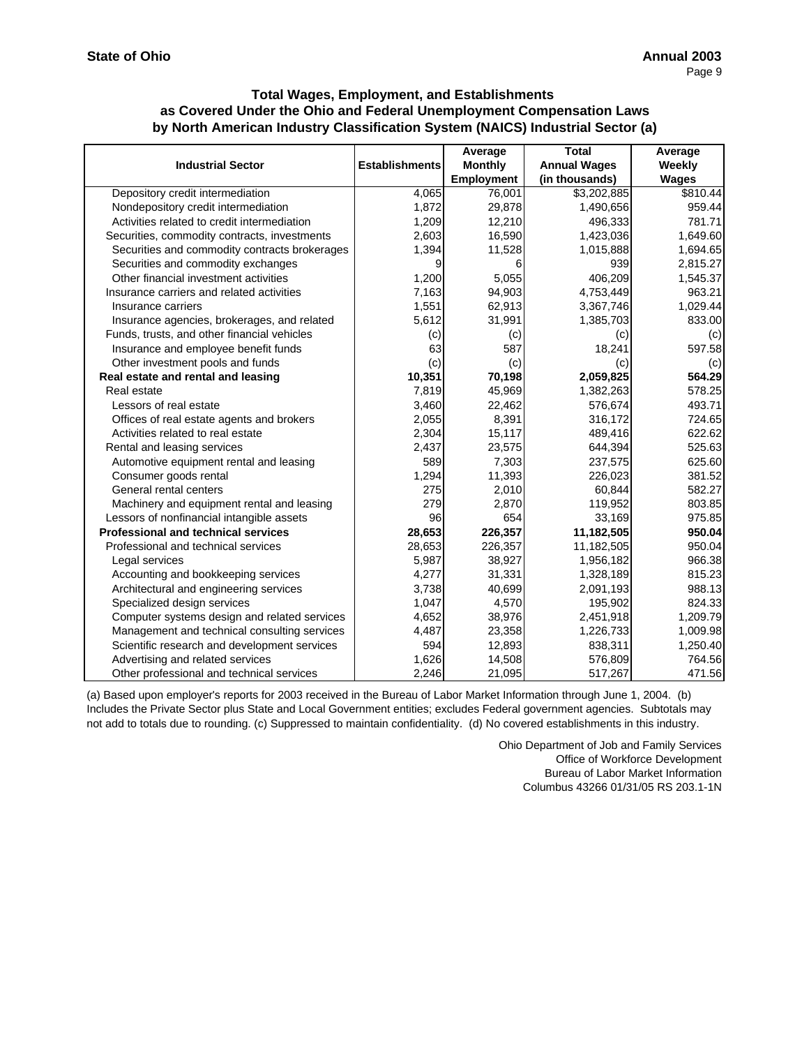|                                               |                       | Average        | <b>Total</b>        | Average  |
|-----------------------------------------------|-----------------------|----------------|---------------------|----------|
| <b>Industrial Sector</b>                      | <b>Establishments</b> | <b>Monthly</b> | <b>Annual Wages</b> | Weekly   |
|                                               |                       | Employment     | (in thousands)      | Wages    |
| Depository credit intermediation              | 4,065                 | 76,001         | \$3,202,885         | \$810.44 |
| Nondepository credit intermediation           | 1,872                 | 29,878         | 1,490,656           | 959.44   |
| Activities related to credit intermediation   | 1,209                 | 12,210         | 496,333             | 781.71   |
| Securities, commodity contracts, investments  | 2,603                 | 16,590         | 1,423,036           | 1,649.60 |
| Securities and commodity contracts brokerages | 1,394                 | 11,528         | 1,015,888           | 1,694.65 |
| Securities and commodity exchanges            | 9                     | 6              | 939                 | 2,815.27 |
| Other financial investment activities         | 1,200                 | 5,055          | 406,209             | 1,545.37 |
| Insurance carriers and related activities     | 7,163                 | 94,903         | 4,753,449           | 963.21   |
| Insurance carriers                            | 1,551                 | 62,913         | 3,367,746           | 1,029.44 |
| Insurance agencies, brokerages, and related   | 5,612                 | 31,991         | 1,385,703           | 833.00   |
| Funds, trusts, and other financial vehicles   | (c)                   | (c)            | (c)                 | (c)      |
| Insurance and employee benefit funds          | 63                    | 587            | 18,241              | 597.58   |
| Other investment pools and funds              | (c)                   | (c)            | (c)                 | (c)      |
| Real estate and rental and leasing            | 10,351                | 70,198         | 2,059,825           | 564.29   |
| Real estate                                   | 7,819                 | 45,969         | 1,382,263           | 578.25   |
| Lessors of real estate                        | 3,460                 | 22,462         | 576,674             | 493.71   |
| Offices of real estate agents and brokers     | 2,055                 | 8,391          | 316,172             | 724.65   |
| Activities related to real estate             | 2,304                 | 15,117         | 489,416             | 622.62   |
| Rental and leasing services                   | 2,437                 | 23,575         | 644,394             | 525.63   |
| Automotive equipment rental and leasing       | 589                   | 7,303          | 237,575             | 625.60   |
| Consumer goods rental                         | 1,294                 | 11,393         | 226,023             | 381.52   |
| General rental centers                        | 275                   | 2,010          | 60,844              | 582.27   |
| Machinery and equipment rental and leasing    | 279                   | 2,870          | 119,952             | 803.85   |
| Lessors of nonfinancial intangible assets     | 96                    | 654            | 33,169              | 975.85   |
| <b>Professional and technical services</b>    | 28,653                | 226,357        | 11,182,505          | 950.04   |
| Professional and technical services           | 28,653                | 226,357        | 11,182,505          | 950.04   |
| Legal services                                | 5,987                 | 38,927         | 1,956,182           | 966.38   |
| Accounting and bookkeeping services           | 4,277                 | 31,331         | 1,328,189           | 815.23   |
| Architectural and engineering services        | 3,738                 | 40,699         | 2,091,193           | 988.13   |
| Specialized design services                   | 1,047                 | 4,570          | 195,902             | 824.33   |
| Computer systems design and related services  | 4,652                 | 38,976         | 2,451,918           | 1,209.79 |
| Management and technical consulting services  | 4,487                 | 23,358         | 1,226,733           | 1,009.98 |
| Scientific research and development services  | 594                   | 12,893         | 838,311             | 1,250.40 |
| Advertising and related services              | 1,626                 | 14,508         | 576,809             | 764.56   |
| Other professional and technical services     | 2,246                 | 21,095         | 517,267             | 471.56   |

(a) Based upon employer's reports for 2003 received in the Bureau of Labor Market Information through June 1, 2004. (b) Includes the Private Sector plus State and Local Government entities; excludes Federal government agencies. Subtotals may not add to totals due to rounding. (c) Suppressed to maintain confidentiality. (d) No covered establishments in this industry.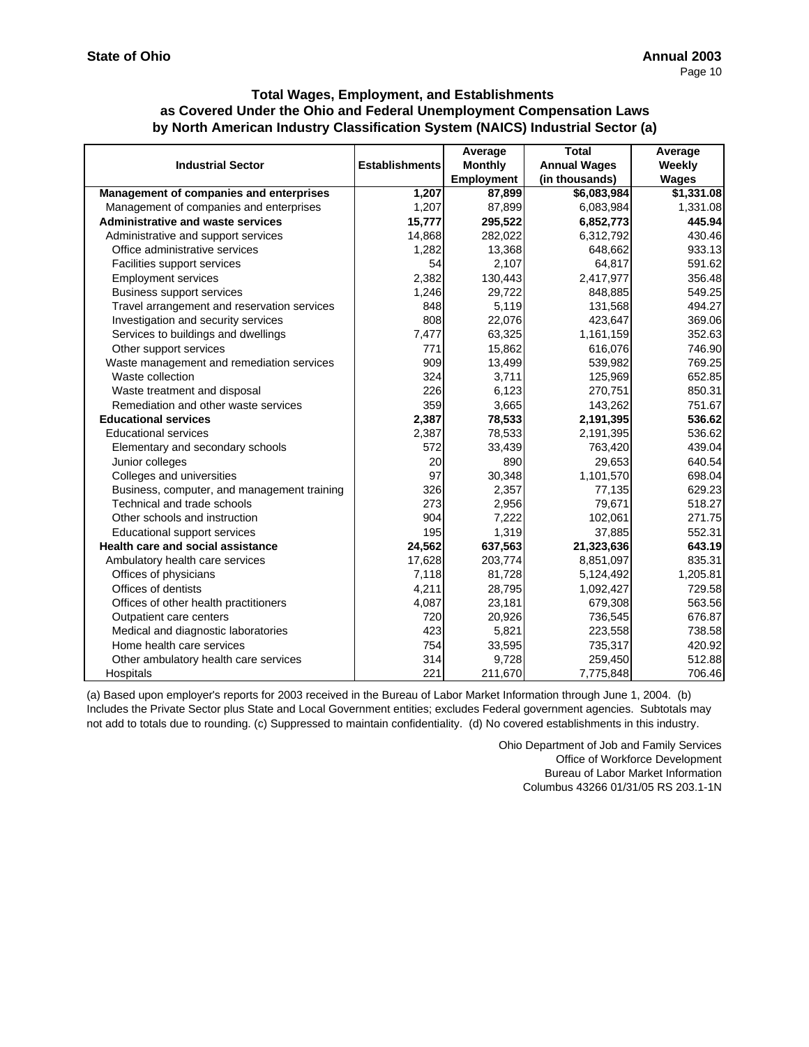|                                             |                       | Average           | <b>Total</b>        | Average      |
|---------------------------------------------|-----------------------|-------------------|---------------------|--------------|
| <b>Industrial Sector</b>                    | <b>Establishments</b> | <b>Monthly</b>    | <b>Annual Wages</b> | Weekly       |
|                                             |                       | <b>Employment</b> | (in thousands)      | <b>Wages</b> |
| Management of companies and enterprises     | 1,207                 | 87,899            | \$6,083,984         | \$1,331.08   |
| Management of companies and enterprises     | 1,207                 | 87,899            | 6,083,984           | 1,331.08     |
| <b>Administrative and waste services</b>    | 15,777                | 295,522           | 6,852,773           | 445.94       |
| Administrative and support services         | 14,868                | 282,022           | 6,312,792           | 430.46       |
| Office administrative services              | 1,282                 | 13,368            | 648,662             | 933.13       |
| Facilities support services                 | 54                    | 2,107             | 64,817              | 591.62       |
| <b>Employment services</b>                  | 2,382                 | 130,443           | 2,417,977           | 356.48       |
| <b>Business support services</b>            | 1,246                 | 29,722            | 848,885             | 549.25       |
| Travel arrangement and reservation services | 848                   | 5.119             | 131,568             | 494.27       |
| Investigation and security services         | 808                   | 22,076            | 423,647             | 369.06       |
| Services to buildings and dwellings         | 7,477                 | 63,325            | 1,161,159           | 352.63       |
| Other support services                      | 771                   | 15,862            | 616,076             | 746.90       |
| Waste management and remediation services   | 909                   | 13,499            | 539,982             | 769.25       |
| Waste collection                            | 324                   | 3,711             | 125,969             | 652.85       |
| Waste treatment and disposal                | 226                   | 6,123             | 270,751             | 850.31       |
| Remediation and other waste services        | 359                   | 3,665             | 143,262             | 751.67       |
| <b>Educational services</b>                 | 2,387                 | 78,533            | 2,191,395           | 536.62       |
| <b>Educational services</b>                 | 2,387                 | 78,533            | 2,191,395           | 536.62       |
| Elementary and secondary schools            | 572                   | 33,439            | 763,420             | 439.04       |
| Junior colleges                             | 20                    | 890               | 29,653              | 640.54       |
| Colleges and universities                   | 97                    | 30,348            | 1,101,570           | 698.04       |
| Business, computer, and management training | 326                   | 2,357             | 77,135              | 629.23       |
| Technical and trade schools                 | 273                   | 2,956             | 79,671              | 518.27       |
| Other schools and instruction               | 904                   | 7,222             | 102,061             | 271.75       |
| Educational support services                | 195                   | 1,319             | 37,885              | 552.31       |
| <b>Health care and social assistance</b>    | 24,562                | 637,563           | 21,323,636          | 643.19       |
| Ambulatory health care services             | 17,628                | 203,774           | 8,851,097           | 835.31       |
| Offices of physicians                       | 7,118                 | 81,728            | 5,124,492           | 1,205.81     |
| Offices of dentists                         | 4,211                 | 28,795            | 1,092,427           | 729.58       |
| Offices of other health practitioners       | 4,087                 | 23,181            | 679,308             | 563.56       |
| Outpatient care centers                     | 720                   | 20,926            | 736,545             | 676.87       |
| Medical and diagnostic laboratories         | 423                   | 5,821             | 223,558             | 738.58       |
| Home health care services                   | 754                   | 33,595            | 735,317             | 420.92       |
| Other ambulatory health care services       | 314                   | 9,728             | 259,450             | 512.88       |
| Hospitals                                   | 221                   | 211,670           | 7,775,848           | 706.46       |

(a) Based upon employer's reports for 2003 received in the Bureau of Labor Market Information through June 1, 2004. (b) Includes the Private Sector plus State and Local Government entities; excludes Federal government agencies. Subtotals may not add to totals due to rounding. (c) Suppressed to maintain confidentiality. (d) No covered establishments in this industry.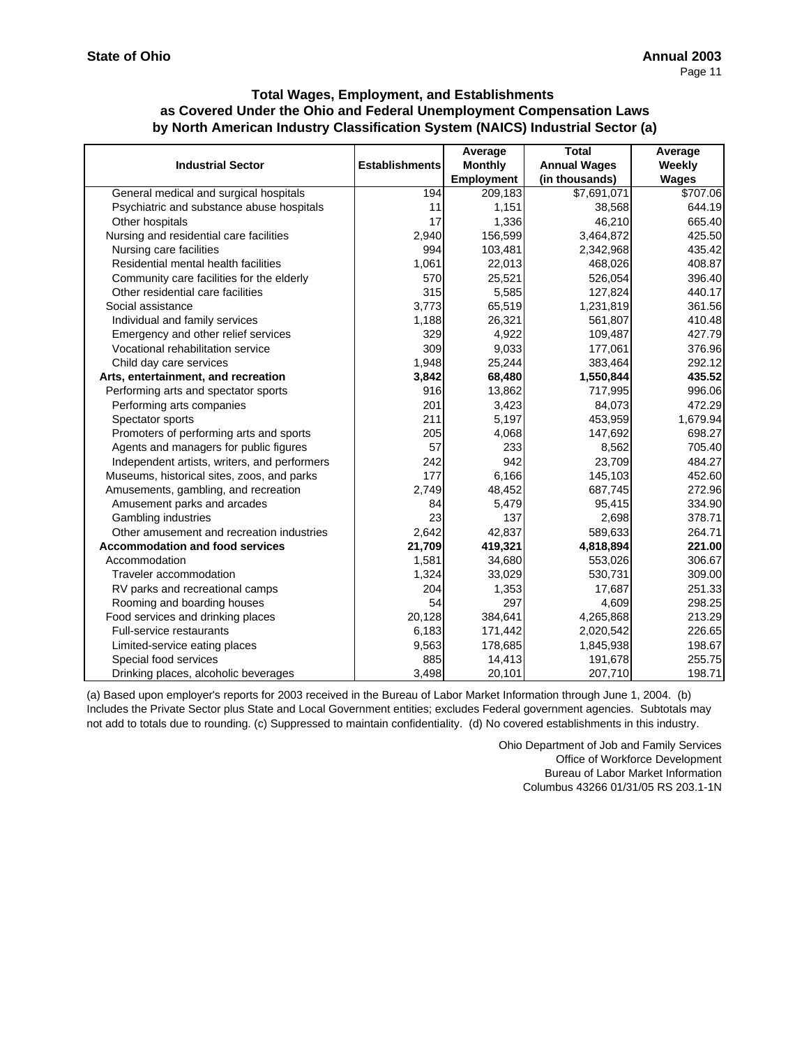|                                              |                       | Average           | <b>Total</b>        | Average      |
|----------------------------------------------|-----------------------|-------------------|---------------------|--------------|
| <b>Industrial Sector</b>                     | <b>Establishments</b> | <b>Monthly</b>    | <b>Annual Wages</b> | Weekly       |
|                                              |                       | <b>Employment</b> | (in thousands)      | <b>Wages</b> |
| General medical and surgical hospitals       | 194                   | 209, 183          | \$7,691,071         | \$707.06     |
| Psychiatric and substance abuse hospitals    | 11                    | 1,151             | 38,568              | 644.19       |
| Other hospitals                              | 17                    | 1,336             | 46,210              | 665.40       |
| Nursing and residential care facilities      | 2,940                 | 156,599           | 3,464,872           | 425.50       |
| Nursing care facilities                      | 994                   | 103,481           | 2,342,968           | 435.42       |
| Residential mental health facilities         | 1,061                 | 22,013            | 468,026             | 408.87       |
| Community care facilities for the elderly    | 570                   | 25,521            | 526,054             | 396.40       |
| Other residential care facilities            | 315                   | 5,585             | 127,824             | 440.17       |
| Social assistance                            | 3,773                 | 65,519            | 1,231,819           | 361.56       |
| Individual and family services               | 1,188                 | 26,321            | 561,807             | 410.48       |
| Emergency and other relief services          | 329                   | 4,922             | 109,487             | 427.79       |
| Vocational rehabilitation service            | 309                   | 9,033             | 177,061             | 376.96       |
| Child day care services                      | 1,948                 | 25,244            | 383,464             | 292.12       |
| Arts, entertainment, and recreation          | 3,842                 | 68,480            | 1,550,844           | 435.52       |
| Performing arts and spectator sports         | 916                   | 13,862            | 717,995             | 996.06       |
| Performing arts companies                    | 201                   | 3,423             | 84,073              | 472.29       |
| Spectator sports                             | 211                   | 5,197             | 453,959             | 1,679.94     |
| Promoters of performing arts and sports      | 205                   | 4,068             | 147,692             | 698.27       |
| Agents and managers for public figures       | 57                    | 233               | 8,562               | 705.40       |
| Independent artists, writers, and performers | 242                   | 942               | 23,709              | 484.27       |
| Museums, historical sites, zoos, and parks   | 177                   | 6,166             | 145,103             | 452.60       |
| Amusements, gambling, and recreation         | 2,749                 | 48,452            | 687,745             | 272.96       |
| Amusement parks and arcades                  | 84                    | 5,479             | 95,415              | 334.90       |
| Gambling industries                          | 23                    | 137               | 2,698               | 378.71       |
| Other amusement and recreation industries    | 2,642                 | 42,837            | 589,633             | 264.71       |
| <b>Accommodation and food services</b>       | 21,709                | 419,321           | 4,818,894           | 221.00       |
| Accommodation                                | 1,581                 | 34,680            | 553,026             | 306.67       |
| Traveler accommodation                       | 1,324                 | 33,029            | 530,731             | 309.00       |
| RV parks and recreational camps              | 204                   | 1,353             | 17,687              | 251.33       |
| Rooming and boarding houses                  | 54                    | 297               | 4,609               | 298.25       |
| Food services and drinking places            | 20,128                | 384,641           | 4,265,868           | 213.29       |
| <b>Full-service restaurants</b>              | 6,183                 | 171,442           | 2,020,542           | 226.65       |
| Limited-service eating places                | 9,563                 | 178,685           | 1,845,938           | 198.67       |
| Special food services                        | 885                   | 14,413            | 191,678             | 255.75       |
| Drinking places, alcoholic beverages         | 3,498                 | 20,101            | 207,710             | 198.71       |

(a) Based upon employer's reports for 2003 received in the Bureau of Labor Market Information through June 1, 2004. (b) Includes the Private Sector plus State and Local Government entities; excludes Federal government agencies. Subtotals may not add to totals due to rounding. (c) Suppressed to maintain confidentiality. (d) No covered establishments in this industry.